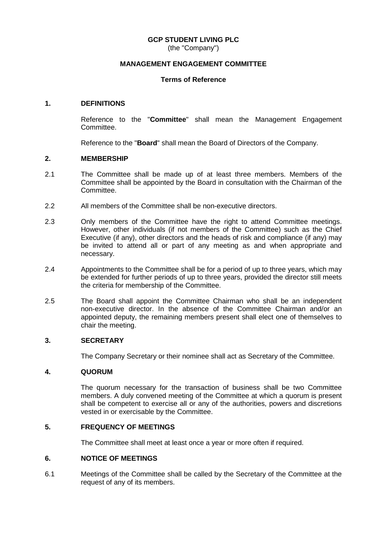### **GCP STUDENT LIVING PLC**

(the "Company")

### **MANAGEMENT ENGAGEMENT COMMITTEE**

### **Terms of Reference**

### **1. DEFINITIONS**

Reference to the "**Committee**" shall mean the Management Engagement Committee.

Reference to the "**Board**" shall mean the Board of Directors of the Company.

### **2. MEMBERSHIP**

- 2.1 The Committee shall be made up of at least three members. Members of the Committee shall be appointed by the Board in consultation with the Chairman of the Committee.
- 2.2 All members of the Committee shall be non-executive directors.
- 2.3 Only members of the Committee have the right to attend Committee meetings. However, other individuals (if not members of the Committee) such as the Chief Executive (if any), other directors and the heads of risk and compliance (if any) may be invited to attend all or part of any meeting as and when appropriate and necessary.
- 2.4 Appointments to the Committee shall be for a period of up to three years, which may be extended for further periods of up to three years, provided the director still meets the criteria for membership of the Committee.
- 2.5 The Board shall appoint the Committee Chairman who shall be an independent non-executive director. In the absence of the Committee Chairman and/or an appointed deputy, the remaining members present shall elect one of themselves to chair the meeting.

### **3. SECRETARY**

The Company Secretary or their nominee shall act as Secretary of the Committee.

### **4. QUORUM**

The quorum necessary for the transaction of business shall be two Committee members. A duly convened meeting of the Committee at which a quorum is present shall be competent to exercise all or any of the authorities, powers and discretions vested in or exercisable by the Committee.

### **5. FREQUENCY OF MEETINGS**

The Committee shall meet at least once a year or more often if required.

# **6. NOTICE OF MEETINGS**

6.1 Meetings of the Committee shall be called by the Secretary of the Committee at the request of any of its members.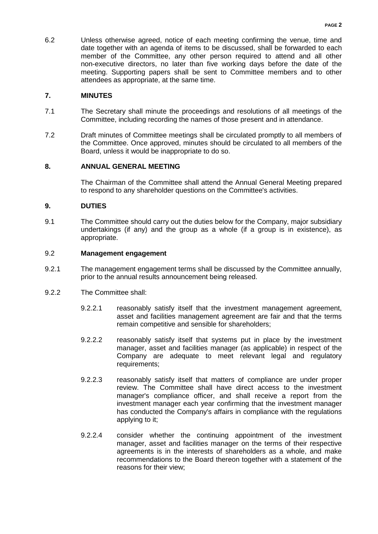6.2 Unless otherwise agreed, notice of each meeting confirming the venue, time and date together with an agenda of items to be discussed, shall be forwarded to each member of the Committee, any other person required to attend and all other non-executive directors, no later than five working days before the date of the meeting. Supporting papers shall be sent to Committee members and to other attendees as appropriate, at the same time.

### **7. MINUTES**

- 7.1 The Secretary shall minute the proceedings and resolutions of all meetings of the Committee, including recording the names of those present and in attendance.
- 7.2 Draft minutes of Committee meetings shall be circulated promptly to all members of the Committee. Once approved, minutes should be circulated to all members of the Board, unless it would be inappropriate to do so.

# **8. ANNUAL GENERAL MEETING**

The Chairman of the Committee shall attend the Annual General Meeting prepared to respond to any shareholder questions on the Committee's activities.

### **9. DUTIES**

9.1 The Committee should carry out the duties below for the Company, major subsidiary undertakings (if any) and the group as a whole (if a group is in existence), as appropriate.

### 9.2 **Management engagement**

- 9.2.1 The management engagement terms shall be discussed by the Committee annually, prior to the annual results announcement being released.
- 9.2.2 The Committee shall:
	- 9.2.2.1 reasonably satisfy itself that the investment management agreement, asset and facilities management agreement are fair and that the terms remain competitive and sensible for shareholders;
	- 9.2.2.2 reasonably satisfy itself that systems put in place by the investment manager, asset and facilities manager (as applicable) in respect of the Company are adequate to meet relevant legal and regulatory requirements;
	- 9.2.2.3 reasonably satisfy itself that matters of compliance are under proper review. The Committee shall have direct access to the investment manager's compliance officer, and shall receive a report from the investment manager each year confirming that the investment manager has conducted the Company's affairs in compliance with the regulations applying to it;
	- 9.2.2.4 consider whether the continuing appointment of the investment manager, asset and facilities manager on the terms of their respective agreements is in the interests of shareholders as a whole, and make recommendations to the Board thereon together with a statement of the reasons for their view;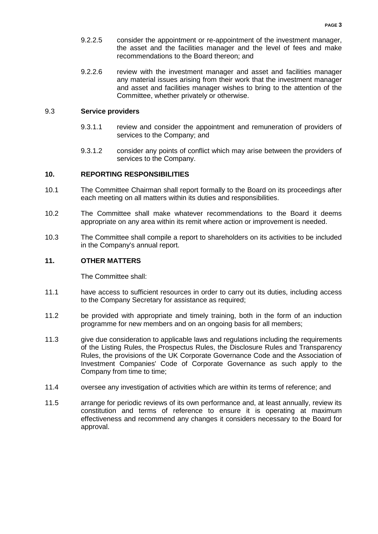- 9.2.2.5 consider the appointment or re-appointment of the investment manager, the asset and the facilities manager and the level of fees and make recommendations to the Board thereon; and
- 9.2.2.6 review with the investment manager and asset and facilities manager any material issues arising from their work that the investment manager and asset and facilities manager wishes to bring to the attention of the Committee, whether privately or otherwise.

#### 9.3 **Service providers**

- 9.3.1.1 review and consider the appointment and remuneration of providers of services to the Company; and
- 9.3.1.2 consider any points of conflict which may arise between the providers of services to the Company.

### **10. REPORTING RESPONSIBILITIES**

- 10.1 The Committee Chairman shall report formally to the Board on its proceedings after each meeting on all matters within its duties and responsibilities.
- 10.2 The Committee shall make whatever recommendations to the Board it deems appropriate on any area within its remit where action or improvement is needed.
- 10.3 The Committee shall compile a report to shareholders on its activities to be included in the Company's annual report.

### **11. OTHER MATTERS**

The Committee shall:

- 11.1 have access to sufficient resources in order to carry out its duties, including access to the Company Secretary for assistance as required;
- 11.2 be provided with appropriate and timely training, both in the form of an induction programme for new members and on an ongoing basis for all members;
- 11.3 give due consideration to applicable laws and regulations including the requirements of the Listing Rules, the Prospectus Rules, the Disclosure Rules and Transparency Rules, the provisions of the UK Corporate Governance Code and the Association of Investment Companies' Code of Corporate Governance as such apply to the Company from time to time;
- 11.4 oversee any investigation of activities which are within its terms of reference; and
- 11.5 arrange for periodic reviews of its own performance and, at least annually, review its constitution and terms of reference to ensure it is operating at maximum effectiveness and recommend any changes it considers necessary to the Board for approval.